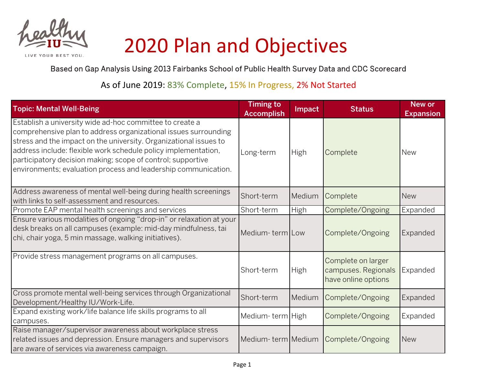

## 2020 Plan and Objectives

YOUR REST YOU

Based on Gap Analysis Using 2013 Fairbanks School of Public Health Survey Data and CDC Scorecard

As of June 2019: 83% Complete, 15% In Progress, 2% Not Started

| <b>Topic: Mental Well-Being</b>                                                                                                                                                                                                                                                                                                                                                                     | <b>Timing to</b><br><b>Accomplish</b> | Impact | <b>Status</b>                                                    | <b>New or</b><br><b>Expansion</b> |
|-----------------------------------------------------------------------------------------------------------------------------------------------------------------------------------------------------------------------------------------------------------------------------------------------------------------------------------------------------------------------------------------------------|---------------------------------------|--------|------------------------------------------------------------------|-----------------------------------|
| Establish a university wide ad-hoc committee to create a<br>comprehensive plan to address organizational issues surrounding<br>stress and the impact on the university. Organizational issues to<br>address include: flexible work schedule policy implementation,<br>participatory decision making; scope of control; supportive<br>environments; evaluation process and leadership communication. | Long-term                             | High   | Complete                                                         | <b>New</b>                        |
| Address awareness of mental well-being during health screenings<br>with links to self-assessment and resources.                                                                                                                                                                                                                                                                                     | Short-term                            | Medium | Complete                                                         | <b>New</b>                        |
| Promote EAP mental health screenings and services                                                                                                                                                                                                                                                                                                                                                   | Short-term                            | High   | Complete/Ongoing                                                 | Expanded                          |
| Ensure various modalities of ongoing "drop-in" or relaxation at your<br>desk breaks on all campuses (example: mid-day mindfulness, tai<br>chi, chair yoga, 5 min massage, walking initiatives).                                                                                                                                                                                                     | Medium-term Low                       |        | Complete/Ongoing                                                 | Expanded                          |
| Provide stress management programs on all campuses.                                                                                                                                                                                                                                                                                                                                                 | Short-term                            | High   | Complete on larger<br>campuses. Regionals<br>have online options | Expanded                          |
| Cross promote mental well-being services through Organizational<br>Development/Healthy IU/Work-Life.                                                                                                                                                                                                                                                                                                | Short-term                            | Medium | Complete/Ongoing                                                 | Expanded                          |
| Expand existing work/life balance life skills programs to all<br>campuses.                                                                                                                                                                                                                                                                                                                          | Medium-term High                      |        | Complete/Ongoing                                                 | Expanded                          |
| Raise manager/supervisor awareness about workplace stress<br>related issues and depression. Ensure managers and supervisors<br>are aware of services via awareness campaign.                                                                                                                                                                                                                        | Medium-term Medium                    |        | Complete/Ongoing                                                 | <b>New</b>                        |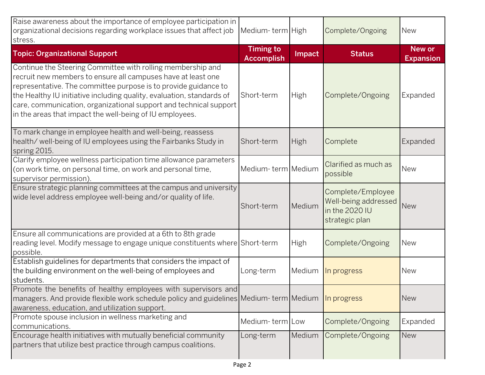| Raise awareness about the importance of employee participation in<br>organizational decisions regarding workplace issues that affect job<br>stress.                                                                                                                                                                                                                                                      | Medium-term High                      |             | Complete/Ongoing                                                              | <b>New</b>                 |
|----------------------------------------------------------------------------------------------------------------------------------------------------------------------------------------------------------------------------------------------------------------------------------------------------------------------------------------------------------------------------------------------------------|---------------------------------------|-------------|-------------------------------------------------------------------------------|----------------------------|
| <b>Topic: Organizational Support</b>                                                                                                                                                                                                                                                                                                                                                                     | <b>Timing to</b><br><b>Accomplish</b> | Impact      | <b>Status</b>                                                                 | New or<br><b>Expansion</b> |
| Continue the Steering Committee with rolling membership and<br>recruit new members to ensure all campuses have at least one<br>representative. The committee purpose is to provide guidance to<br>the Healthy IU initiative including quality, evaluation, standards of<br>care, communication, organizational support and technical support<br>in the areas that impact the well-being of IU employees. | Short-term                            | <b>High</b> | Complete/Ongoing                                                              | Expanded                   |
| To mark change in employee health and well-being, reassess<br>health/well-being of IU employees using the Fairbanks Study in<br>spring 2015.                                                                                                                                                                                                                                                             | Short-term                            | <b>High</b> | Complete                                                                      | Expanded                   |
| Clarify employee wellness participation time allowance parameters<br>(on work time, on personal time, on work and personal time,<br>supervisor permission).                                                                                                                                                                                                                                              | Medium-term Medium                    |             | Clarified as much as<br>possible                                              | <b>New</b>                 |
| Ensure strategic planning committees at the campus and university<br>wide level address employee well-being and/or quality of life.                                                                                                                                                                                                                                                                      | Short-term                            | Medium      | Complete/Employee<br>Well-being addressed<br>in the 2020 IU<br>strategic plan | <b>New</b>                 |
| Ensure all communications are provided at a 6th to 8th grade<br>reading level. Modify message to engage unique constituents where Short-term<br>possible.                                                                                                                                                                                                                                                |                                       | <b>High</b> | Complete/Ongoing                                                              | <b>New</b>                 |
| Establish guidelines for departments that considers the impact of<br>the building environment on the well-being of employees and<br>students.                                                                                                                                                                                                                                                            | Long-term                             | Medium      | In progress                                                                   | <b>New</b>                 |
| Promote the benefits of healthy employees with supervisors and<br>managers. And provide flexible work schedule policy and guidelines Medium-term Medium<br>awareness, education, and utilization support.                                                                                                                                                                                                |                                       |             | In progress                                                                   | <b>New</b>                 |
| Promote spouse inclusion in wellness marketing and<br>communications.                                                                                                                                                                                                                                                                                                                                    | Medium-term Low                       |             | Complete/Ongoing                                                              | Expanded                   |
| Encourage health initiatives with mutually beneficial community<br>partners that utilize best practice through campus coalitions.                                                                                                                                                                                                                                                                        | Long-term                             | Medium      | Complete/Ongoing                                                              | <b>New</b>                 |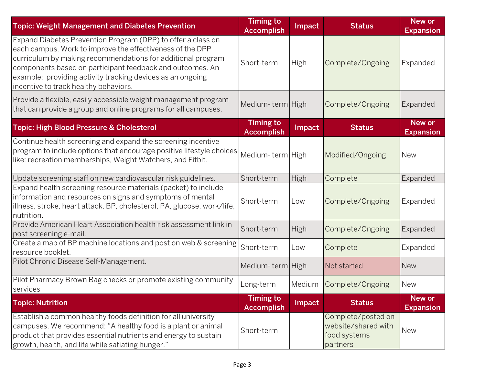| <b>Topic: Weight Management and Diabetes Prevention</b>                                                                                                                                                                                                                                                                                                      | <b>Timing to</b><br><b>Accomplish</b> | Impact      | <b>Status</b>                                                         | <b>New or</b><br><b>Expansion</b> |
|--------------------------------------------------------------------------------------------------------------------------------------------------------------------------------------------------------------------------------------------------------------------------------------------------------------------------------------------------------------|---------------------------------------|-------------|-----------------------------------------------------------------------|-----------------------------------|
| Expand Diabetes Prevention Program (DPP) to offer a class on<br>each campus. Work to improve the effectiveness of the DPP<br>curriculum by making recommendations for additional program<br>components based on participant feedback and outcomes. An<br>example: providing activity tracking devices as an ongoing<br>incentive to track healthy behaviors. | Short-term                            | <b>High</b> | Complete/Ongoing                                                      | Expanded                          |
| Provide a flexible, easily accessible weight management program<br>that can provide a group and online programs for all campuses.                                                                                                                                                                                                                            | Medium-term High                      |             | Complete/Ongoing                                                      | Expanded                          |
| <b>Topic: High Blood Pressure &amp; Cholesterol</b>                                                                                                                                                                                                                                                                                                          | <b>Timing to</b><br><b>Accomplish</b> | Impact      | <b>Status</b>                                                         | New or<br><b>Expansion</b>        |
| Continue health screening and expand the screening incentive<br>program to include options that encourage positive lifestyle choices<br>like: recreation memberships, Weight Watchers, and Fitbit.                                                                                                                                                           | Medium-term High                      |             | Modified/Ongoing                                                      | <b>New</b>                        |
| Update screening staff on new cardiovascular risk guidelines.                                                                                                                                                                                                                                                                                                | Short-term                            | <b>High</b> | Complete                                                              | Expanded                          |
| Expand health screening resource materials (packet) to include<br>information and resources on signs and symptoms of mental<br>illness, stroke, heart attack, BP, cholesterol, PA, glucose, work/life,<br>nutrition.                                                                                                                                         | Short-term                            | Low         | Complete/Ongoing                                                      | Expanded                          |
| Provide American Heart Association health risk assessment link in<br>post screening e-mail.                                                                                                                                                                                                                                                                  | Short-term                            | High        | Complete/Ongoing                                                      | Expanded                          |
| Create a map of BP machine locations and post on web & screening<br>resource booklet.                                                                                                                                                                                                                                                                        | Short-term                            | Low         | Complete                                                              | Expanded                          |
| Pilot Chronic Disease Self-Management.                                                                                                                                                                                                                                                                                                                       | Medium-term High                      |             | Not started                                                           | <b>New</b>                        |
| Pilot Pharmacy Brown Bag checks or promote existing community<br>services                                                                                                                                                                                                                                                                                    | Long-term                             |             | Medium Complete/Ongoing                                               | <b>New</b>                        |
| <b>Topic: Nutrition</b>                                                                                                                                                                                                                                                                                                                                      | <b>Timing to</b><br><b>Accomplish</b> | Impact      | <b>Status</b>                                                         | <b>New or</b><br><b>Expansion</b> |
| Establish a common healthy foods definition for all university<br>campuses. We recommend: "A healthy food is a plant or animal<br>product that provides essential nutrients and energy to sustain<br>growth, health, and life while satiating hunger."                                                                                                       | Short-term                            |             | Complete/posted on<br>website/shared with<br>food systems<br>partners | <b>New</b>                        |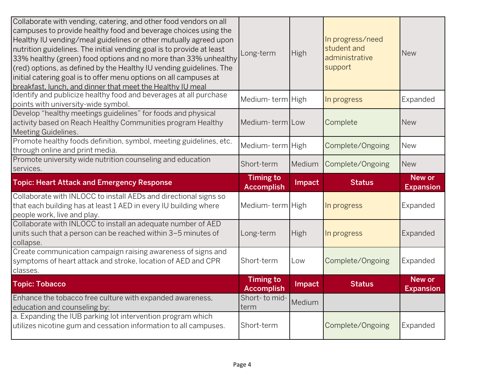| Collaborate with vending, catering, and other food vendors on all<br>campuses to provide healthy food and beverage choices using the<br>Healthy IU vending/meal guidelines or other mutually agreed upon<br>nutrition guidelines. The initial vending goal is to provide at least<br>33% healthy (green) food options and no more than 33% unhealthy<br>(red) options, as defined by the Healthy IU vending guidelines. The<br>initial catering goal is to offer menu options on all campuses at<br>breakfast, lunch, and dinner that meet the Healthy IU meal | Long-term                             | <b>High</b> | In progress/need<br>student and<br>administrative<br>support | <b>New</b>                        |
|----------------------------------------------------------------------------------------------------------------------------------------------------------------------------------------------------------------------------------------------------------------------------------------------------------------------------------------------------------------------------------------------------------------------------------------------------------------------------------------------------------------------------------------------------------------|---------------------------------------|-------------|--------------------------------------------------------------|-----------------------------------|
| Identify and publicize healthy food and beverages at all purchase<br>points with university-wide symbol.                                                                                                                                                                                                                                                                                                                                                                                                                                                       | Medium-term High                      |             | In progress                                                  | Expanded                          |
| Develop "healthy meetings guidelines" for foods and physical<br>activity based on Reach Healthy Communities program Healthy<br>Meeting Guidelines.                                                                                                                                                                                                                                                                                                                                                                                                             | Medium-term Low                       |             | Complete                                                     | <b>New</b>                        |
| Promote healthy foods definition, symbol, meeting guidelines, etc.<br>through online and print media.                                                                                                                                                                                                                                                                                                                                                                                                                                                          | Medium-term High                      |             | Complete/Ongoing                                             | <b>New</b>                        |
| Promote university wide nutrition counseling and education<br>services.                                                                                                                                                                                                                                                                                                                                                                                                                                                                                        | Short-term                            | Medium      | Complete/Ongoing                                             | <b>New</b>                        |
|                                                                                                                                                                                                                                                                                                                                                                                                                                                                                                                                                                | <b>Timing to</b>                      |             |                                                              | <b>New or</b>                     |
| <b>Topic: Heart Attack and Emergency Response</b>                                                                                                                                                                                                                                                                                                                                                                                                                                                                                                              |                                       | Impact      | <b>Status</b>                                                |                                   |
| Collaborate with INLOCC to install AEDs and directional signs so<br>that each building has at least 1 AED in every IU building where<br>people work, live and play.                                                                                                                                                                                                                                                                                                                                                                                            | <b>Accomplish</b><br>Medium-term High |             | In progress                                                  | <b>Expansion</b><br>Expanded      |
| Collaborate with INLOCC to install an adequate number of AED<br>units such that a person can be reached within 3-5 minutes of<br>collapse.                                                                                                                                                                                                                                                                                                                                                                                                                     | Long-term                             | <b>High</b> | In progress                                                  | Expanded                          |
| Create communication campaign raising awareness of signs and<br>symptoms of heart attack and stroke, location of AED and CPR<br>classes.                                                                                                                                                                                                                                                                                                                                                                                                                       | Short-term                            | Low         | Complete/Ongoing                                             | Expanded                          |
| <b>Topic: Tobacco</b>                                                                                                                                                                                                                                                                                                                                                                                                                                                                                                                                          | <b>Timing to</b><br><b>Accomplish</b> | Impact      | <b>Status</b>                                                | <b>New or</b><br><b>Expansion</b> |
| Enhance the tobacco free culture with expanded awareness,<br>education and counseling by:<br>a. Expanding the IUB parking lot intervention program which                                                                                                                                                                                                                                                                                                                                                                                                       | Short- to mid-<br>term                | Medium      |                                                              |                                   |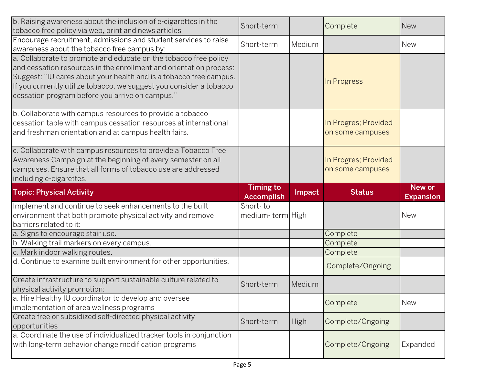| b. Raising awareness about the inclusion of e-cigarettes in the<br>tobacco free policy via web, print and news articles                                                                                                                                                                                                                | Short-term                   |             | Complete                                 | <b>New</b>                     |
|----------------------------------------------------------------------------------------------------------------------------------------------------------------------------------------------------------------------------------------------------------------------------------------------------------------------------------------|------------------------------|-------------|------------------------------------------|--------------------------------|
| Encourage recruitment, admissions and student services to raise<br>awareness about the tobacco free campus by:                                                                                                                                                                                                                         | Short-term                   | Medium      |                                          | <b>New</b>                     |
| a. Collaborate to promote and educate on the tobacco free policy<br>and cessation resources in the enrollment and orientation process:<br>Suggest: "IU cares about your health and is a tobacco free campus.<br>If you currently utilize tobacco, we suggest you consider a tobacco<br>cessation program before you arrive on campus." |                              |             | In Progress                              |                                |
| b. Collaborate with campus resources to provide a tobacco<br>cessation table with campus cessation resources at international<br>and freshman orientation and at campus health fairs.                                                                                                                                                  |                              |             | In Progres; Provided<br>on some campuses |                                |
| c. Collaborate with campus resources to provide a Tobacco Free<br>Awareness Campaign at the beginning of every semester on all<br>campuses. Ensure that all forms of tobacco use are addressed<br>including e-cigarettes.                                                                                                              |                              |             | In Progres; Provided<br>on some campuses |                                |
|                                                                                                                                                                                                                                                                                                                                        | <b>Timing to</b>             |             |                                          | <b>New or</b>                  |
| <b>Topic: Physical Activity</b>                                                                                                                                                                                                                                                                                                        | <b>Accomplish</b>            | Impact      | <b>Status</b>                            |                                |
| Implement and continue to seek enhancements to the built<br>environment that both promote physical activity and remove<br>barriers related to it:                                                                                                                                                                                      | Short-to<br>medium-term High |             |                                          | <b>Expansion</b><br><b>New</b> |
| a. Signs to encourage stair use.                                                                                                                                                                                                                                                                                                       |                              |             | Complete                                 |                                |
| b. Walking trail markers on every campus.                                                                                                                                                                                                                                                                                              |                              |             | Complete                                 |                                |
| c. Mark indoor walking routes.                                                                                                                                                                                                                                                                                                         |                              |             | Complete                                 |                                |
| d. Continue to examine built environment for other opportunities.                                                                                                                                                                                                                                                                      |                              |             | Complete/Ongoing                         |                                |
| Create infrastructure to support sustainable culture related to<br>physical activity promotion:                                                                                                                                                                                                                                        | Short-term                   | Medium      |                                          |                                |
| a. Hire Healthy IU coordinator to develop and oversee<br>implementation of area wellness programs                                                                                                                                                                                                                                      |                              |             | Complete                                 | <b>New</b>                     |
| Create free or subsidized self-directed physical activity<br>opportunities                                                                                                                                                                                                                                                             | Short-term                   | <b>High</b> | Complete/Ongoing                         |                                |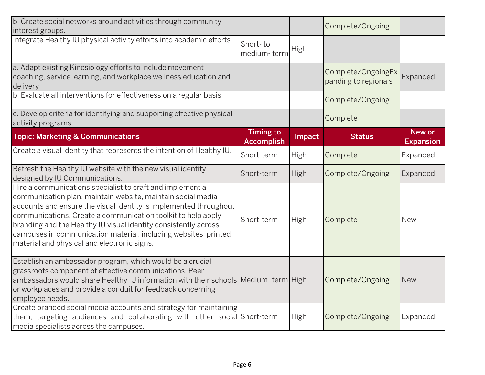| b. Create social networks around activities through community<br>interest groups.                                                                                                                                                                                                                                                                                                                                                                  |                                       |             | Complete/Ongoing                           |                                   |
|----------------------------------------------------------------------------------------------------------------------------------------------------------------------------------------------------------------------------------------------------------------------------------------------------------------------------------------------------------------------------------------------------------------------------------------------------|---------------------------------------|-------------|--------------------------------------------|-----------------------------------|
| Integrate Healthy IU physical activity efforts into academic efforts                                                                                                                                                                                                                                                                                                                                                                               | Short-to<br>medium-term               | <b>High</b> |                                            |                                   |
| a. Adapt existing Kinesiology efforts to include movement<br>coaching, service learning, and workplace wellness education and<br>delivery                                                                                                                                                                                                                                                                                                          |                                       |             | Complete/OngoingEx<br>panding to regionals | Expanded                          |
| b. Evaluate all interventions for effectiveness on a regular basis                                                                                                                                                                                                                                                                                                                                                                                 |                                       |             | Complete/Ongoing                           |                                   |
| c. Develop criteria for identifying and supporting effective physical<br>activity programs                                                                                                                                                                                                                                                                                                                                                         |                                       |             | Complete                                   |                                   |
| <b>Topic: Marketing &amp; Communications</b>                                                                                                                                                                                                                                                                                                                                                                                                       | <b>Timing to</b><br><b>Accomplish</b> | Impact      | <b>Status</b>                              | <b>New or</b><br><b>Expansion</b> |
| Create a visual identity that represents the intention of Healthy IU.                                                                                                                                                                                                                                                                                                                                                                              | Short-term                            | <b>High</b> | Complete                                   | Expanded                          |
| Refresh the Healthy IU website with the new visual identity<br>designed by IU Communications.                                                                                                                                                                                                                                                                                                                                                      | Short-term                            | High        | Complete/Ongoing                           | Expanded                          |
| Hire a communications specialist to craft and implement a<br>communication plan, maintain website, maintain social media<br>accounts and ensure the visual identity is implemented throughout<br>communications. Create a communication toolkit to help apply<br>branding and the Healthy IU visual identity consistently across<br>campuses in communication material, including websites, printed<br>material and physical and electronic signs. | Short-term                            | High        | Complete                                   | <b>New</b>                        |
| Establish an ambassador program, which would be a crucial<br>grassroots component of effective communications. Peer<br>ambassadors would share Healthy IU information with their schools Medium-term High<br>or workplaces and provide a conduit for feedback concerning<br>employee needs.                                                                                                                                                        |                                       |             | Complete/Ongoing                           | <b>New</b>                        |
| Create branded social media accounts and strategy for maintaining<br>them, targeting audiences and collaborating with other social Short-term<br>media specialists across the campuses.                                                                                                                                                                                                                                                            |                                       | <b>High</b> | Complete/Ongoing                           | Expanded                          |